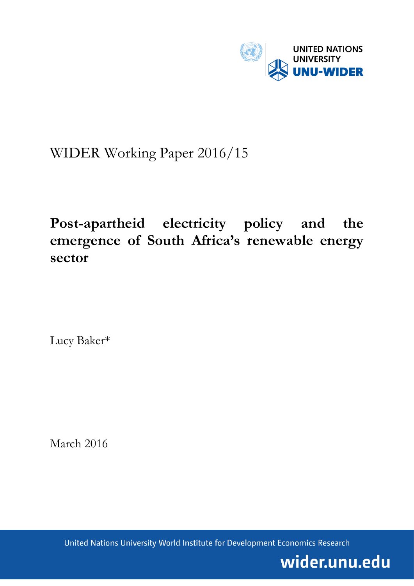

# WIDER Working Paper 2016/15

**Post-apartheid electricity policy and the emergence of South Africa's renewable energy sector**

Lucy Baker\*

March 2016

United Nations University World Institute for Development Economics Research

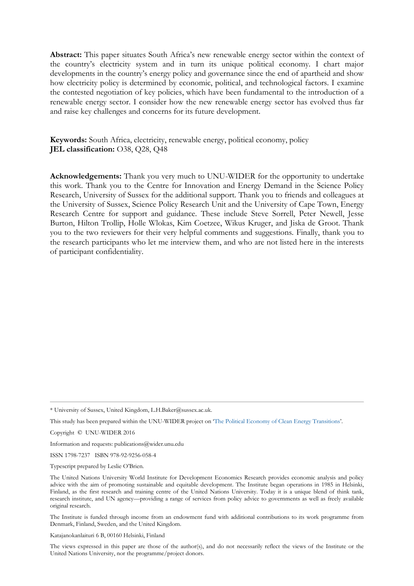**Abstract:** This paper situates South Africa's new renewable energy sector within the context of the country's electricity system and in turn its unique political economy. I chart major developments in the country's energy policy and governance since the end of apartheid and show how electricity policy is determined by economic, political, and technological factors. I examine the contested negotiation of key policies, which have been fundamental to the introduction of a renewable energy sector. I consider how the new renewable energy sector has evolved thus far and raise key challenges and concerns for its future development.

**Keywords:** South Africa, electricity, renewable energy, political economy, policy **JEL classification:** O38, Q28, Q48

**Acknowledgements:** Thank you very much to UNU-WIDER for the opportunity to undertake this work. Thank you to the Centre for Innovation and Energy Demand in the Science Policy Research, University of Sussex for the additional support. Thank you to friends and colleagues at the University of Sussex, Science Policy Research Unit and the University of Cape Town, Energy Research Centre for support and guidance. These include Steve Sorrell, Peter Newell, Jesse Burton, Hilton Trollip, Holle Wlokas, Kim Coetzee, Wikus Kruger, and Jiska de Groot. Thank you to the two reviewers for their very helpful comments and suggestions. Finally, thank you to the research participants who let me interview them, and who are not listed here in the interests of participant confidentiality.

Copyright © UNU-WIDER 2016

Information and requests: publications@wider.unu.edu

ISSN 1798-7237 ISBN 978-92-9256-058-4

Typescript prepared by Leslie O'Brien.

The Institute is funded through income from an endowment fund with additional contributions to its work programme from Denmark, Finland, Sweden, and the United Kingdom.

Katajanokanlaituri 6 B, 00160 Helsinki, Finland

The views expressed in this paper are those of the author(s), and do not necessarily reflect the views of the Institute or the United Nations University, nor the programme/project donors.

<sup>\*</sup> University of Sussex, United Kingdom, L.H.Baker@sussex.ac.uk.

This study has been prepared within the UNU-WIDER project on '[The Political Economy of Clean Energy Transitions](https://www.wider.unu.edu/node/369)'.

The United Nations University World Institute for Development Economics Research provides economic analysis and policy advice with the aim of promoting sustainable and equitable development. The Institute began operations in 1985 in Helsinki, Finland, as the first research and training centre of the United Nations University. Today it is a unique blend of think tank, research institute, and UN agency—providing a range of services from policy advice to governments as well as freely available original research.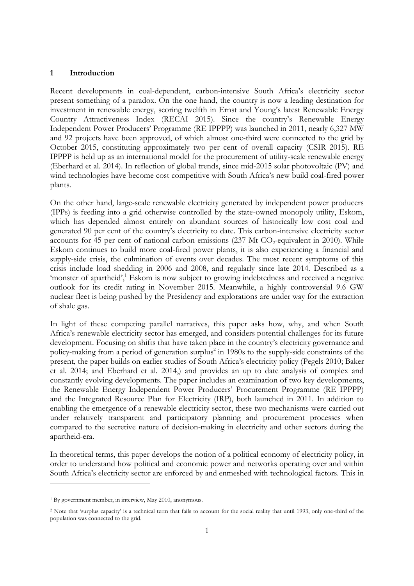#### **1 Introduction**

Recent developments in coal-dependent, carbon-intensive South Africa's electricity sector present something of a paradox. On the one hand, the country is now a leading destination for investment in renewable energy, scoring twelfth in Ernst and Young's latest Renewable Energy Country Attractiveness Index (RECAI 2015). Since the country's Renewable Energy Independent Power Producers' Programme (RE IPPPP) was launched in 2011, nearly 6,327 MW and 92 projects have been approved, of which almost one-third were connected to the grid by October 2015, constituting approximately two per cent of overall capacity (CSIR 2015). RE IPPPP is held up as an international model for the procurement of utility-scale renewable energy (Eberhard et al. 2014). In reflection of global trends, since mid-2015 solar photovoltaic (PV) and wind technologies have become cost competitive with South Africa's new build coal-fired power plants.

On the other hand, large-scale renewable electricity generated by independent power producers (IPPs) is feeding into a grid otherwise controlled by the state-owned monopoly utility, Eskom, which has depended almost entirely on abundant sources of historically low cost coal and generated 90 per cent of the country's electricity to date. This carbon-intensive electricity sector accounts for 45 per cent of national carbon emissions (237 Mt  $CO_2$ -equivalent in 2010). While Eskom continues to build more coal-fired power plants, it is also experiencing a financial and supply-side crisis, the culmination of events over decades. The most recent symptoms of this crisis include load shedding in 2006 and 2008, and regularly since late 2014. Described as a 'monster of apartheid',<sup>1</sup> Eskom is now subject to growing indebtedness and received a negative outlook for its credit rating in November 2015. Meanwhile, a highly controversial 9.6 GW nuclear fleet is being pushed by the Presidency and explorations are under way for the extraction of shale gas.

In light of these competing parallel narratives, this paper asks how, why, and when South Africa's renewable electricity sector has emerged, and considers potential challenges for its future development. Focusing on shifts that have taken place in the country's electricity governance and policy-making from a period of generation surplus 2 in 1980s to the supply-side constraints of the present, the paper builds on earlier studies of South Africa's electricity policy (Pegels 2010; Baker et al. 2014; and Eberhard et al. 2014,) and provides an up to date analysis of complex and constantly evolving developments. The paper includes an examination of two key developments, the Renewable Energy Independent Power Producers' Procurement Programme (RE IPPPP) and the Integrated Resource Plan for Electricity (IRP), both launched in 2011. In addition to enabling the emergence of a renewable electricity sector, these two mechanisms were carried out under relatively transparent and participatory planning and procurement processes when compared to the secretive nature of decision-making in electricity and other sectors during the apartheid-era.

In theoretical terms, this paper develops the notion of a political economy of electricity policy, in order to understand how political and economic power and networks operating over and within South Africa's electricity sector are enforced by and enmeshed with technological factors. This in

<sup>1</sup> By government member, in interview, May 2010, anonymous.

<sup>2</sup> Note that 'surplus capacity' is a technical term that fails to account for the social reality that until 1993, only one-third of the population was connected to the grid.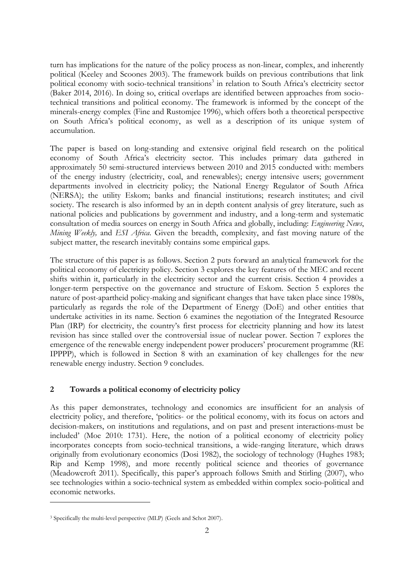turn has implications for the nature of the policy process as non-linear, complex, and inherently political (Keeley and Scoones 2003). The framework builds on previous contributions that link political economy with socio-technical transitions<sup>3</sup> in relation to South Africa's electricity sector (Baker 2014, 2016). In doing so, critical overlaps are identified between approaches from sociotechnical transitions and political economy. The framework is informed by the concept of the minerals-energy complex (Fine and Rustomjee 1996), which offers both a theoretical perspective on South Africa's political economy, as well as a description of its unique system of accumulation.

The paper is based on long-standing and extensive original field research on the political economy of South Africa's electricity sector. This includes primary data gathered in approximately 50 semi-structured interviews between 2010 and 2015 conducted with: members of the energy industry (electricity, coal, and renewables); energy intensive users; government departments involved in electricity policy; the National Energy Regulator of South Africa (NERSA); the utility Eskom; banks and financial institutions; research institutes; and civil society. The research is also informed by an in depth content analysis of grey literature, such as national policies and publications by government and industry, and a long-term and systematic consultation of media sources on energy in South Africa and globally, including: *Engineering News*, *Mining Weekly,* and *ESI Africa*. Given the breadth, complexity, and fast moving nature of the subject matter, the research inevitably contains some empirical gaps.

The structure of this paper is as follows. Section 2 puts forward an analytical framework for the political economy of electricity policy. Section 3 explores the key features of the MEC and recent shifts within it, particularly in the electricity sector and the current crisis. Section 4 provides a longer-term perspective on the governance and structure of Eskom. Section 5 explores the nature of post-apartheid policy-making and significant changes that have taken place since 1980s, particularly as regards the role of the Department of Energy (DoE) and other entities that undertake activities in its name. Section 6 examines the negotiation of the Integrated Resource Plan (IRP) for electricity, the country's first process for electricity planning and how its latest revision has since stalled over the controversial issue of nuclear power. Section 7 explores the emergence of the renewable energy independent power producers' procurement programme (RE IPPPP), which is followed in Section 8 with an examination of key challenges for the new renewable energy industry. Section 9 concludes.

## **2 Towards a political economy of electricity policy**

As this paper demonstrates, technology and economics are insufficient for an analysis of electricity policy, and therefore, 'politics- or the political economy, with its focus on actors and decision-makers, on institutions and regulations, and on past and present interactions-must be included' (Moe 2010: 1731). Here, the notion of a political economy of electricity policy incorporates concepts from socio-technical transitions, a wide-ranging literature, which draws originally from evolutionary economics (Dosi 1982), the sociology of technology (Hughes 1983; Rip and Kemp 1998), and more recently political science and theories of governance (Meadowcroft 2011). Specifically, this paper's approach follows Smith and Stirling (2007), who see technologies within a socio-technical system as embedded within complex socio-political and economic networks.

<sup>&</sup>lt;sup>3</sup> Specifically the multi-level perspective (MLP) (Geels and Schot 2007).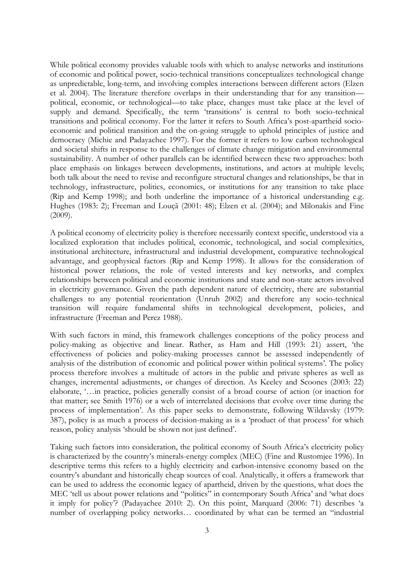While political economy provides valuable tools with which to analyse networks and institutions of economic and political power, socio-technical transitions conceptualizes technological change as unpredictable, long-term, and involving complex interactions between different actors (Elzen et al. 2004). The literature therefore overlaps in their understanding that for any transition political, economic, or technological—to take place, changes must take place at the level of supply and demand. Specifically, the term 'transitions' is central to both socio-technical transitions and political economy. For the latter it refers to South Africa's post-apartheid socioeconomic and political transition and the on-going struggle to uphold principles of justice and democracy (Michie and Padayachee 1997). For the former it refers to low carbon technological and societal shifts in response to the challenges of climate change mitigation and environmental sustainability. A number of other parallels can be identified between these two approaches: both place emphasis on linkages between developments, institutions, and actors at multiple levels; both talk about the need to revise and reconfigure structural changes and relationships, be that in technology, infrastructure, politics, economics, or institutions for any transition to take place (Rip and Kemp 1998); and both underline the importance of a historical understanding e.g. Hughes (1983: 2); Freeman and Louçã (2001: 48); Elzen et al. (2004); and Milonakis and Fine (2009).

A political economy of electricity policy is therefore necessarily context specific, understood via a localized exploration that includes political, economic, technological, and social complexities, institutional architecture, infrastructural and industrial development, comparative technological advantage, and geophysical factors (Rip and Kemp 1998). It allows for the consideration of historical power relations, the role of vested interests and key networks, and complex relationships between political and economic institutions and state and non-state actors involved in electricity governance. Given the path dependent nature of electricity, there are substantial challenges to any potential reorientation (Unruh 2002) and therefore any socio-technical transition will require fundamental shifts in technological development, policies, and infrastructure (Freeman and Perez 1988).

With such factors in mind, this framework challenges conceptions of the policy process and policy-making as objective and linear. Rather, as Ham and Hill (1993: 21) assert, 'the effectiveness of policies and policy-making processes cannot be assessed independently of analysis of the distribution of economic and political power within political systems'. The policy process therefore involves a multitude of actors in the public and private spheres as well as changes, incremental adjustments, or changes of direction. As Keeley and Scoones (2003: 22) elaborate, '…in practice, policies generally consist of a broad course of action (or inaction for that matter; see Smith 1976) or a web of interrelated decisions that evolve over time during the process of implementation'. As this paper seeks to demonstrate, following Wildavsky (1979: 387), policy is as much a process of decision-making as is a 'product of that process' for which reason, policy analysis 'should be shown not just defined'.

Taking such factors into consideration, the political economy of South Africa's electricity policy is characterized by the country's minerals-energy complex (MEC) (Fine and Rustomjee 1996). In descriptive terms this refers to a highly electricity and carbon-intensive economy based on the country's abundant and historically cheap sources of coal. Analytically, it offers a framework that can be used to address the economic legacy of apartheid, driven by the questions, what does the MEC 'tell us about power relations and "politics" in contemporary South Africa' and 'what does it imply for policy'? (Padayachee 2010: 2). On this point, Marquard (2006: 71) describes 'a number of overlapping policy networks… coordinated by what can be termed an "industrial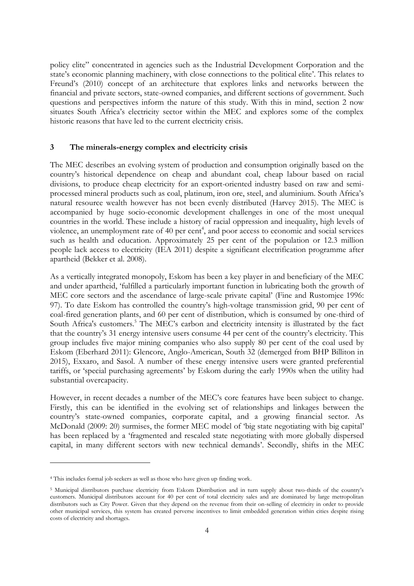policy elite" concentrated in agencies such as the Industrial Development Corporation and the state's economic planning machinery, with close connections to the political elite'. This relates to Freund's (2010) concept of an architecture that explores links and networks between the financial and private sectors, state-owned companies, and different sections of government. Such questions and perspectives inform the nature of this study. With this in mind, section 2 now situates South Africa's electricity sector within the MEC and explores some of the complex historic reasons that have led to the current electricity crisis.

#### **3 The minerals-energy complex and electricity crisis**

The MEC describes an evolving system of production and consumption originally based on the country's historical dependence on cheap and abundant coal, cheap labour based on racial divisions, to produce cheap electricity for an export-oriented industry based on raw and semiprocessed mineral products such as coal, platinum, iron ore, steel, and aluminium. South Africa's natural resource wealth however has not been evenly distributed (Harvey 2015). The MEC is accompanied by huge socio-economic development challenges in one of the most unequal countries in the world. These include a history of racial oppression and inequality, high levels of violence, an unemployment rate of 40 per cent<sup>4</sup>, and poor access to economic and social services such as health and education. Approximately 25 per cent of the population or 12.3 million people lack access to electricity (IEA 2011) despite a significant electrification programme after apartheid (Bekker et al. 2008).

As a vertically integrated monopoly, Eskom has been a key player in and beneficiary of the MEC and under apartheid, 'fulfilled a particularly important function in lubricating both the growth of MEC core sectors and the ascendance of large-scale private capital' (Fine and Rustomjee 1996: 97). To date Eskom has controlled the country's high-voltage transmission grid, 90 per cent of coal-fired generation plants, and 60 per cent of distribution, which is consumed by one-third of South Africa's customers. <sup>5</sup> The MEC's carbon and electricity intensity is illustrated by the fact that the country's 31 energy intensive users consume 44 per cent of the country's electricity. This group includes five major mining companies who also supply 80 per cent of the coal used by Eskom (Eberhard 2011): Glencore, Anglo-American, South 32 (demerged from BHP Billiton in 2015), Exxaro, and Sasol. A number of these energy intensive users were granted preferential tariffs, or 'special purchasing agreements' by Eskom during the early 1990s when the utility had substantial overcapacity.

However, in recent decades a number of the MEC's core features have been subject to change. Firstly, this can be identified in the evolving set of relationships and linkages between the country's state-owned companies, corporate capital, and a growing financial sector. As McDonald (2009: 20) surmises, the former MEC model of 'big state negotiating with big capital' has been replaced by a 'fragmented and rescaled state negotiating with more globally dispersed capital, in many different sectors with new technical demands'. Secondly, shifts in the MEC

<sup>4</sup> This includes formal job seekers as well as those who have given up finding work.

<sup>5</sup> Municipal distributors purchase electricity from Eskom Distribution and in turn supply about two-thirds of the country's customers. Municipal distributors account for 40 per cent of total electricity sales and are dominated by large metropolitan distributors such as City Power. Given that they depend on the revenue from their on-selling of electricity in order to provide other municipal services, this system has created perverse incentives to limit embedded generation within cities despite rising costs of electricity and shortages.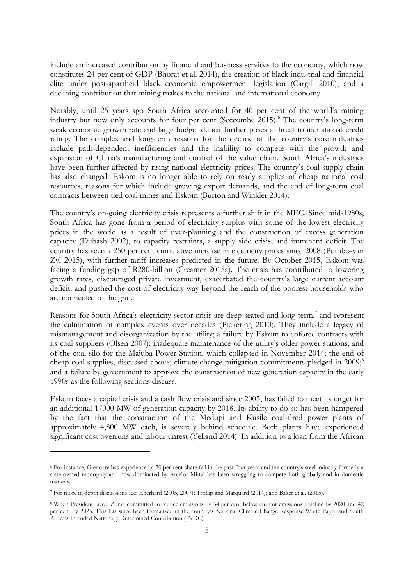include an increased contribution by financial and business services to the economy, which now constitutes 24 per cent of GDP (Bhorat et al. 2014), the creation of black industrial and financial elite under post-apartheid black economic empowerment legislation (Cargill 2010), and a declining contribution that mining makes to the national and international economy.

Notably, until 25 years ago South Africa accounted for 40 per cent of the world's mining industry but now only accounts for four per cent (Seccombe 2015). <sup>6</sup> The country's long-term weak economic growth rate and large budget deficit further poses a threat to its national credit rating. The complex and long-term reasons for the decline of the country's core industries include path-dependent inefficiencies and the inability to compete with the growth and expansion of China's manufacturing and control of the value chain. South Africa's industries have been further affected by rising national electricity prices. The country's coal supply chain has also changed: Eskom is no longer able to rely on ready supplies of cheap national coal resources, reasons for which include growing export demands, and the end of long-term coal contracts between tied coal mines and Eskom (Burton and Winkler 2014).

The country's on-going electricity crisis represents a further shift in the MEC. Since mid-1980s, South Africa has gone from a period of electricity surplus with some of the lowest electricity prices in the world as a result of over-planning and the construction of excess generation capacity (Dubash 2002), to capacity restraints, a supply side crisis, and imminent deficit. The country has seen a 250 per cent cumulative increase in electricity prices since 2008 (Pombo-van Zyl 2015), with further tariff increases predicted in the future. By October 2015, Eskom was facing a funding gap of R280-billion (Creamer 2015a). The crisis has contributed to lowering growth rates, discouraged private investment, exacerbated the country's large current account deficit, and pushed the cost of electricity way beyond the reach of the poorest households who are connected to the grid.

Reasons for South Africa's electricity sector crisis are deep seated and long-term,<sup>7</sup> and represent the culmination of complex events over decades (Pickering 2010). They include a legacy of mismanagement and disorganization by the utility; a failure by Eskom to enforce contracts with its coal suppliers (Olsen 2007); inadequate maintenance of the utility's older power stations, and of the coal silo for the Majuba Power Station, which collapsed in November 2014; the end of cheap coal supplies, discussed above; climate change mitigation commitments pledged in 2009; 8 and a failure by government to approve the construction of new generation capacity in the early 1990s as the following sections discuss.

Eskom faces a capital crisis and a cash flow crisis and since 2005, has failed to meet its target for an additional 17000 MW of generation capacity by 2018. Its ability to do so has been hampered by the fact that the construction of the Medupi and Kusile coal-fired power plants of approximately 4,800 MW each, is severely behind schedule. Both plants have experienced significant cost overruns and labour unrest (Yelland 2014). In addition to a loan from the African

<sup>6</sup> For instance, Glencore has experienced a 70 per cent share fall in the past four years and the country's steel industry formerly a state-owned monopoly and now dominated by Arcelor Mittal has been struggling to compete both globally and in domestic markets.

<sup>7</sup> For more in depth discussions see: Eberhard (2005, 2007); Trollip and Marquard (2014); and Baker et al. (2015).

<sup>8</sup> When President Jacob Zuma committed to reduce emissions by 34 per cent below current emissions baseline by 2020 and 42 per cent by 2025. This has since been formalized in the country's National Climate Change Response White Paper and South Africa's Intended Nationally Determined Contribution (INDC).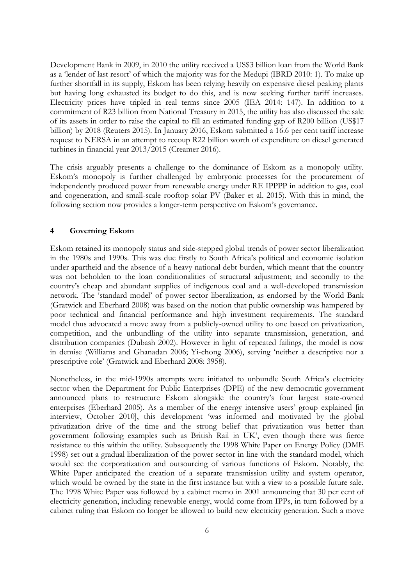Development Bank in 2009, in 2010 the utility received a US\$3 billion loan from the World Bank as a 'lender of last resort' of which the majority was for the Medupi (IBRD 2010: 1). To make up further shortfall in its supply, Eskom has been relying heavily on expensive diesel peaking plants but having long exhausted its budget to do this, and is now seeking further tariff increases. Electricity prices have tripled in real terms since 2005 (IEA 2014: 147). In addition to a commitment of R23 billion from National Treasury in 2015, the utility has also discussed the sale of its assets in order to raise the capital to fill an estimated funding gap of R200 billion (US\$17 billion) by 2018 (Reuters 2015). In January 2016, Eskom submitted a 16.6 per cent tariff increase request to NERSA in an attempt to recoup R22 billion worth of expenditure on diesel generated turbines in financial year 2013/2015 (Creamer 2016).

The crisis arguably presents a challenge to the dominance of Eskom as a monopoly utility. Eskom's monopoly is further challenged by embryonic processes for the procurement of independently produced power from renewable energy under RE IPPPP in addition to gas, coal and cogeneration, and small-scale rooftop solar PV (Baker et al. 2015). With this in mind, the following section now provides a longer-term perspective on Eskom's governance.

#### **4 Governing Eskom**

Eskom retained its monopoly status and side-stepped global trends of power sector liberalization in the 1980s and 1990s. This was due firstly to South Africa's political and economic isolation under apartheid and the absence of a heavy national debt burden, which meant that the country was not beholden to the loan conditionalities of structural adjustment; and secondly to the country's cheap and abundant supplies of indigenous coal and a well-developed transmission network. The 'standard model' of power sector liberalization, as endorsed by the World Bank (Gratwick and Eberhard 2008) was based on the notion that public ownership was hampered by poor technical and financial performance and high investment requirements. The standard model thus advocated a move away from a publicly-owned utility to one based on privatization, competition, and the unbundling of the utility into separate transmission, generation, and distribution companies (Dubash 2002). However in light of repeated failings, the model is now in demise (Williams and Ghanadan 2006; Yi-chong 2006), serving 'neither a descriptive nor a prescriptive role' (Gratwick and Eberhard 2008: 3958).

Nonetheless, in the mid-1990s attempts were initiated to unbundle South Africa's electricity sector when the Department for Public Enterprises (DPE) of the new democratic government announced plans to restructure Eskom alongside the country's four largest state-owned enterprises (Eberhard 2005). As a member of the energy intensive users' group explained [in interview, October 2010], this development 'was informed and motivated by the global privatization drive of the time and the strong belief that privatization was better than government following examples such as British Rail in UK', even though there was fierce resistance to this within the utility. Subsequently the 1998 White Paper on Energy Policy (DME 1998) set out a gradual liberalization of the power sector in line with the standard model, which would see the corporatization and outsourcing of various functions of Eskom. Notably, the White Paper anticipated the creation of a separate transmission utility and system operator, which would be owned by the state in the first instance but with a view to a possible future sale. The 1998 White Paper was followed by a cabinet memo in 2001 announcing that 30 per cent of electricity generation, including renewable energy, would come from IPPs, in turn followed by a cabinet ruling that Eskom no longer be allowed to build new electricity generation. Such a move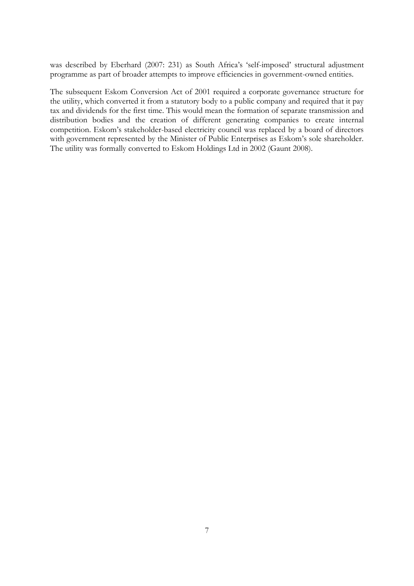was described by Eberhard (2007: 231) as South Africa's 'self-imposed' structural adjustment programme as part of broader attempts to improve efficiencies in government-owned entities.

The subsequent Eskom Conversion Act of 2001 required a corporate governance structure for the utility, which converted it from a statutory body to a public company and required that it pay tax and dividends for the first time. This would mean the formation of separate transmission and distribution bodies and the creation of different generating companies to create internal competition. Eskom's stakeholder-based electricity council was replaced by a board of directors with government represented by the Minister of Public Enterprises as Eskom's sole shareholder. The utility was formally converted to Eskom Holdings Ltd in 2002 (Gaunt 2008).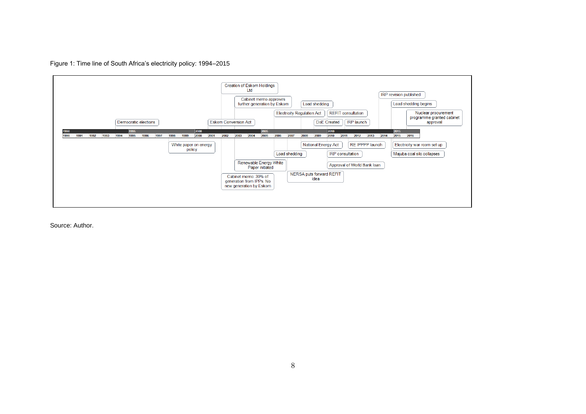Figure 1: Time line of South Africa's electricity policy: 1994–2015



Source: Author.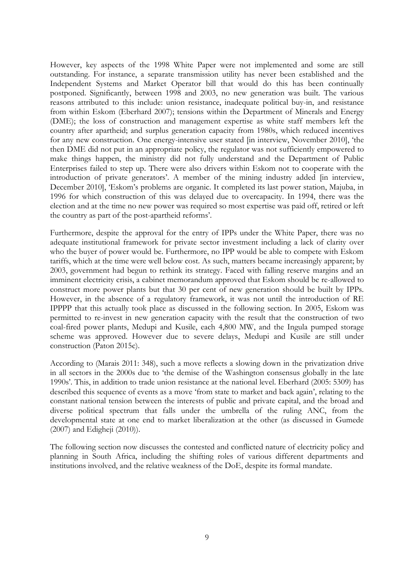However, key aspects of the 1998 White Paper were not implemented and some are still outstanding. For instance, a separate transmission utility has never been established and the Independent Systems and Market Operator bill that would do this has been continually postponed. Significantly, between 1998 and 2003, no new generation was built. The various reasons attributed to this include: union resistance, inadequate political buy-in, and resistance from within Eskom (Eberhard 2007); tensions within the Department of Minerals and Energy (DME); the loss of construction and management expertise as white staff members left the country after apartheid; and surplus generation capacity from 1980s, which reduced incentives for any new construction. One energy-intensive user stated [in interview, November 2010], 'the then DME did not put in an appropriate policy, the regulator was not sufficiently empowered to make things happen, the ministry did not fully understand and the Department of Public Enterprises failed to step up. There were also drivers within Eskom not to cooperate with the introduction of private generators'. A member of the mining industry added [in interview, December 2010], 'Eskom's problems are organic. It completed its last power station, Majuba, in 1996 for which construction of this was delayed due to overcapacity. In 1994, there was the election and at the time no new power was required so most expertise was paid off, retired or left the country as part of the post-apartheid reforms'.

Furthermore, despite the approval for the entry of IPPs under the White Paper, there was no adequate institutional framework for private sector investment including a lack of clarity over who the buyer of power would be. Furthermore, no IPP would be able to compete with Eskom tariffs, which at the time were well below cost. As such, matters became increasingly apparent; by 2003, government had begun to rethink its strategy. Faced with falling reserve margins and an imminent electricity crisis, a cabinet memorandum approved that Eskom should be re-allowed to construct more power plants but that 30 per cent of new generation should be built by IPPs. However, in the absence of a regulatory framework, it was not until the introduction of RE IPPPP that this actually took place as discussed in the following section. In 2005, Eskom was permitted to re-invest in new generation capacity with the result that the construction of two coal-fired power plants, Medupi and Kusile, each 4,800 MW, and the Ingula pumped storage scheme was approved. However due to severe delays, Medupi and Kusile are still under construction (Paton 2015c).

According to (Marais 2011: 348), such a move reflects a slowing down in the privatization drive in all sectors in the 2000s due to 'the demise of the Washington consensus globally in the late 1990s'. This, in addition to trade union resistance at the national level. Eberhard (2005: 5309) has described this sequence of events as a move 'from state to market and back again', relating to the constant national tension between the interests of public and private capital, and the broad and diverse political spectrum that falls under the umbrella of the ruling ANC, from the developmental state at one end to market liberalization at the other (as discussed in Gumede (2007) and Edigheji (2010)).

The following section now discusses the contested and conflicted nature of electricity policy and planning in South Africa, including the shifting roles of various different departments and institutions involved, and the relative weakness of the DoE, despite its formal mandate.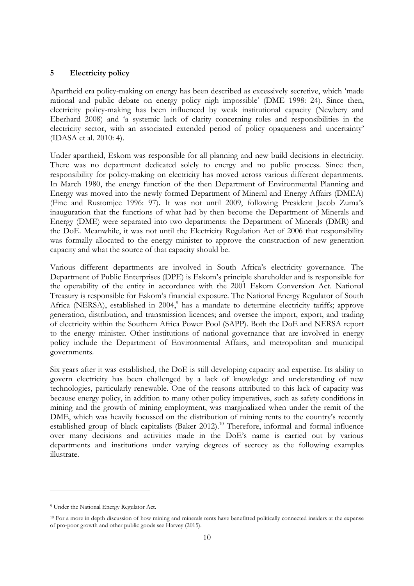### **5 Electricity policy**

Apartheid era policy-making on energy has been described as excessively secretive, which 'made rational and public debate on energy policy nigh impossible' (DME 1998: 24). Since then, electricity policy-making has been influenced by weak institutional capacity (Newbery and Eberhard 2008) and 'a systemic lack of clarity concerning roles and responsibilities in the electricity sector, with an associated extended period of policy opaqueness and uncertainty' (IDASA et al. 2010: 4).

Under apartheid, Eskom was responsible for all planning and new build decisions in electricity. There was no department dedicated solely to energy and no public process. Since then, responsibility for policy-making on electricity has moved across various different departments. In March 1980, the energy function of the then Department of Environmental Planning and Energy was moved into the newly formed Department of Mineral and Energy Affairs (DMEA) (Fine and Rustomjee 1996: 97). It was not until 2009, following President Jacob Zuma's inauguration that the functions of what had by then become the Department of Minerals and Energy (DME) were separated into two departments: the Department of Minerals (DMR) and the DoE. Meanwhile, it was not until the Electricity Regulation Act of 2006 that responsibility was formally allocated to the energy minister to approve the construction of new generation capacity and what the source of that capacity should be.

Various different departments are involved in South Africa's electricity governance. The Department of Public Enterprises (DPE) is Eskom's principle shareholder and is responsible for the operability of the entity in accordance with the 2001 Eskom Conversion Act. National Treasury is responsible for Eskom's financial exposure. The National Energy Regulator of South Africa (NERSA), established in 2004,<sup>9</sup> has a mandate to determine electricity tariffs; approve generation, distribution, and transmission licences; and oversee the import, export, and trading of electricity within the Southern Africa Power Pool (SAPP). Both the DoE and NERSA report to the energy minister. Other institutions of national governance that are involved in energy policy include the Department of Environmental Affairs, and metropolitan and municipal governments.

Six years after it was established, the DoE is still developing capacity and expertise. Its ability to govern electricity has been challenged by a lack of knowledge and understanding of new technologies, particularly renewable. One of the reasons attributed to this lack of capacity was because energy policy, in addition to many other policy imperatives, such as safety conditions in mining and the growth of mining employment, was marginalized when under the remit of the DME, which was heavily focussed on the distribution of mining rents to the country's recently established group of black capitalists (Baker 2012).<sup>10</sup> Therefore, informal and formal influence over many decisions and activities made in the DoE's name is carried out by various departments and institutions under varying degrees of secrecy as the following examples illustrate.

<sup>9</sup> Under the National Energy Regulator Act.

<sup>&</sup>lt;sup>10</sup> For a more in depth discussion of how mining and minerals rents have benefitted politically connected insiders at the expense of pro-poor growth and other public goods see Harvey (2015).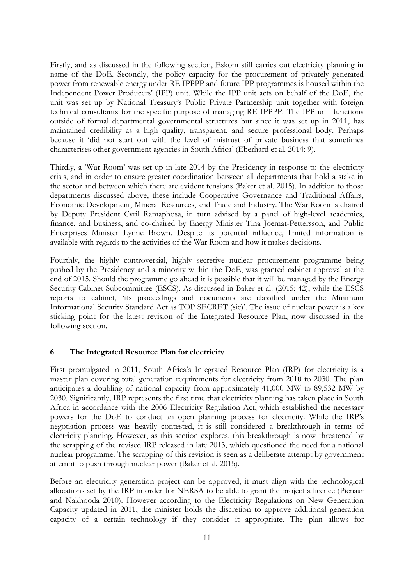Firstly, and as discussed in the following section, Eskom still carries out electricity planning in name of the DoE. Secondly, the policy capacity for the procurement of privately generated power from renewable energy under RE IPPPP and future IPP programmes is housed within the Independent Power Producers' (IPP) unit. While the IPP unit acts on behalf of the DoE, the unit was set up by National Treasury's Public Private Partnership unit together with foreign technical consultants for the specific purpose of managing RE IPPPP. The IPP unit functions outside of formal departmental governmental structures but since it was set up in 2011, has maintained credibility as a high quality, transparent, and secure professional body. Perhaps because it 'did not start out with the level of mistrust of private business that sometimes characterises other government agencies in South Africa' (Eberhard et al. 2014: 9).

Thirdly, a 'War Room' was set up in late 2014 by the Presidency in response to the electricity crisis, and in order to ensure greater coordination between all departments that hold a stake in the sector and between which there are evident tensions (Baker et al. 2015). In addition to those departments discussed above, these include Cooperative Governance and Traditional Affairs, Economic Development, Mineral Resources, and Trade and Industry. The War Room is chaired by Deputy President Cyril Ramaphosa, in turn advised by a panel of high-level academics, finance, and business, and co-chaired by Energy Minister Tina Joemat-Pettersson, and Public Enterprises Minister Lynne Brown. Despite its potential influence, limited information is available with regards to the activities of the War Room and how it makes decisions.

Fourthly, the highly controversial, highly secretive nuclear procurement programme being pushed by the Presidency and a minority within the DoE, was granted cabinet approval at the end of 2015. Should the programme go ahead it is possible that it will be managed by the Energy Security Cabinet Subcommittee (ESCS). As discussed in Baker et al. (2015: 42), while the ESCS reports to cabinet, 'its proceedings and documents are classified under the Minimum Informational Security Standard Act as TOP SECRET (sic)'. The issue of nuclear power is a key sticking point for the latest revision of the Integrated Resource Plan, now discussed in the following section.

#### **6 The Integrated Resource Plan for electricity**

First promulgated in 2011, South Africa's Integrated Resource Plan (IRP) for electricity is a master plan covering total generation requirements for electricity from 2010 to 2030. The plan anticipates a doubling of national capacity from approximately 41,000 MW to 89,532 MW by 2030. Significantly, IRP represents the first time that electricity planning has taken place in South Africa in accordance with the 2006 Electricity Regulation Act, which established the necessary powers for the DoE to conduct an open planning process for electricity. While the IRP's negotiation process was heavily contested, it is still considered a breakthrough in terms of electricity planning. However, as this section explores, this breakthrough is now threatened by the scrapping of the revised IRP released in late 2013, which questioned the need for a national nuclear programme. The scrapping of this revision is seen as a deliberate attempt by government attempt to push through nuclear power (Baker et al. 2015).

Before an electricity generation project can be approved, it must align with the technological allocations set by the IRP in order for NERSA to be able to grant the project a licence (Pienaar and Nakhooda 2010). However according to the Electricity Regulations on New Generation Capacity updated in 2011, the minister holds the discretion to approve additional generation capacity of a certain technology if they consider it appropriate. The plan allows for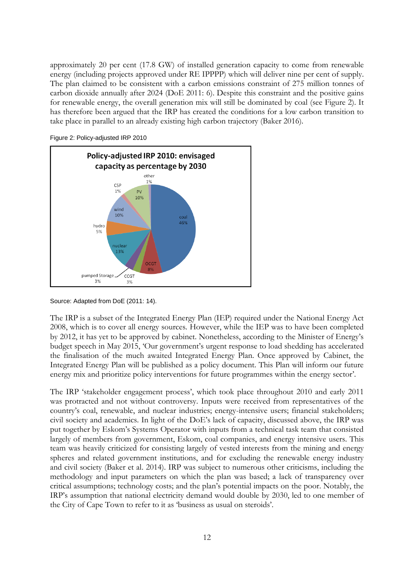approximately 20 per cent (17.8 GW) of installed generation capacity to come from renewable energy (including projects approved under RE IPPPP) which will deliver nine per cent of supply. The plan claimed to be consistent with a carbon emissions constraint of 275 million tonnes of carbon dioxide annually after 2024 (DoE 2011: 6). Despite this constraint and the positive gains for renewable energy, the overall generation mix will still be dominated by coal (see Figure 2). It has therefore been argued that the IRP has created the conditions for a low carbon transition to take place in parallel to an already existing high carbon trajectory (Baker 2016).



Figure 2: Policy-adjusted IRP 2010

Source: Adapted from DoE (2011: 14).

The IRP is a subset of the Integrated Energy Plan (IEP) required under the National Energy Act 2008, which is to cover all energy sources. However, while the IEP was to have been completed by 2012, it has yet to be approved by cabinet. Nonetheless, according to the Minister of Energy's budget speech in May 2015, 'Our government's urgent response to load shedding has accelerated the finalisation of the much awaited Integrated Energy Plan. Once approved by Cabinet, the Integrated Energy Plan will be published as a policy document. This Plan will inform our future energy mix and prioritize policy interventions for future programmes within the energy sector'.

The IRP 'stakeholder engagement process', which took place throughout 2010 and early 2011 was protracted and not without controversy. Inputs were received from representatives of the country's coal, renewable, and nuclear industries; energy-intensive users; financial stakeholders; civil society and academics. In light of the DoE's lack of capacity, discussed above, the IRP was put together by Eskom's Systems Operator with inputs from a technical task team that consisted largely of members from government, Eskom, coal companies, and energy intensive users. This team was heavily criticized for consisting largely of vested interests from the mining and energy spheres and related government institutions, and for excluding the renewable energy industry and civil society (Baker et al. 2014). IRP was subject to numerous other criticisms, including the methodology and input parameters on which the plan was based; a lack of transparency over critical assumptions; technology costs; and the plan's potential impacts on the poor. Notably, the IRP's assumption that national electricity demand would double by 2030, led to one member of the City of Cape Town to refer to it as 'business as usual on steroids'.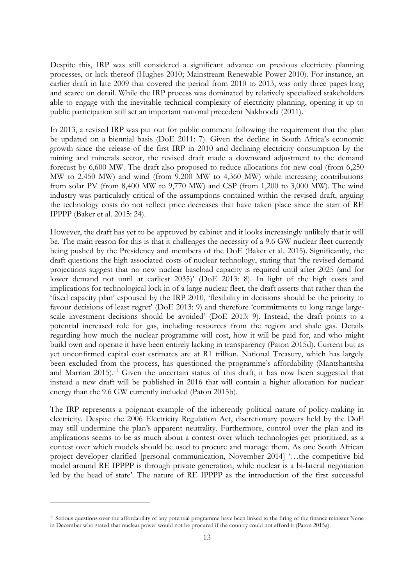Despite this, IRP was still considered a significant advance on previous electricity planning processes, or lack thereof (Hughes 2010; Mainstream Renewable Power 2010). For instance, an earlier draft in late 2009 that covered the period from 2010 to 2013, was only three pages long and scarce on detail. While the IRP process was dominated by relatively specialized stakeholders able to engage with the inevitable technical complexity of electricity planning, opening it up to public participation still set an important national precedent Nakhooda (2011).

In 2013, a revised IRP was put out for public comment following the requirement that the plan be updated on a biennial basis (DoE 2011: 7). Given the decline in South Africa's economic growth since the release of the first IRP in 2010 and declining electricity consumption by the mining and minerals sector, the revised draft made a downward adjustment to the demand forecast by 6,600 MW. The draft also proposed to reduce allocations for new coal (from 6,250 MW to 2,450 MW) and wind (from 9,200 MW to 4,360 MW) while increasing contributions from solar PV (from 8,400 MW to 9,770 MW) and CSP (from 1,200 to 3,000 MW). The wind industry was particularly critical of the assumptions contained within the revised draft, arguing the technology costs do not reflect price decreases that have taken place since the start of RE IPPPP (Baker et al. 2015: 24).

However, the draft has yet to be approved by cabinet and it looks increasingly unlikely that it will be. The main reason for this is that it challenges the necessity of a 9.6 GW nuclear fleet currently being pushed by the Presidency and members of the DoE (Baker et al. 2015). Significantly, the draft questions the high associated costs of nuclear technology, stating that 'the revised demand projections suggest that no new nuclear baseload capacity is required until after 2025 (and for lower demand not until at earliest 2035)' (DoE 2013: 8). In light of the high costs and implications for technological lock in of a large nuclear fleet, the draft asserts that rather than the 'fixed capacity plan' espoused by the IRP 2010, 'flexibility in decisions should be the priority to favour decisions of least regret' (DoE 2013: 9) and therefore 'commitments to long range largescale investment decisions should be avoided' (DoE 2013: 9). Instead, the draft points to a potential increased role for gas, including resources from the region and shale gas. Details regarding how much the nuclear programme will cost, how it will be paid for, and who might build own and operate it have been entirely lacking in transparency (Paton 2015d). Current but as yet unconfirmed capital cost estimates are at R1 trillion. National Treasury, which has largely been excluded from the process, has questioned the programme's affordability (Mantshantsha and Marrian 2015).<sup>11</sup> Given the uncertain status of this draft, it has now been suggested that instead a new draft will be published in 2016 that will contain a higher allocation for nuclear energy than the 9.6 GW currently included (Paton 2015b).

The IRP represents a poignant example of the inherently political nature of policy-making in electricity. Despite the 2006 Electricity Regulation Act, discretionary powers held by the DoE may still undermine the plan's apparent neutrality. Furthermore, control over the plan and its implications seems to be as much about a contest over which technologies get prioritized, as a contest over which models should be used to procure and manage them. As one South African project developer clarified [personal communication, November 2014] '…the competitive bid model around RE IPPPP is through private generation, while nuclear is a bi-lateral negotiation led by the head of state'. The nature of RE IPPPP as the introduction of the first successful

-

<sup>11</sup> Serious questions over the affordability of any potential programme have been linked to the firing of the finance minister Nene in December who stated that nuclear power would not be procured if the country could not afford it (Paton 2015a).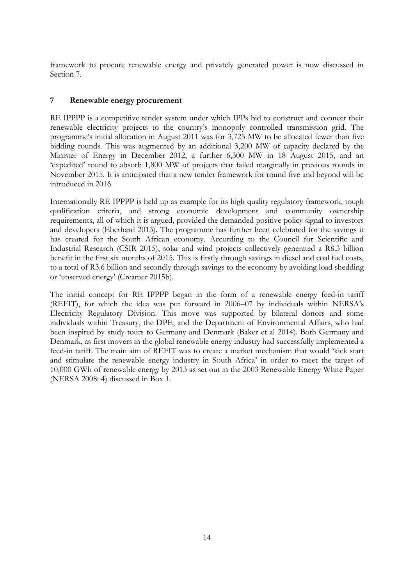framework to procure renewable energy and privately generated power is now discussed in Section 7.

## **7 Renewable energy procurement**

RE IPPPP is a competitive tender system under which IPPs bid to construct and connect their renewable electricity projects to the country's monopoly controlled transmission grid. The programme's initial allocation in August 2011 was for 3,725 MW to be allocated fewer than five bidding rounds. This was augmented by an additional 3,200 MW of capacity declared by the Minister of Energy in December 2012, a further 6,300 MW in 18 August 2015, and an 'expedited' round to absorb 1,800 MW of projects that failed marginally in previous rounds in November 2015. It is anticipated that a new tender framework for round five and beyond will be introduced in 2016.

Internationally RE IPPPP is held up as example for its high quality regulatory framework, tough qualification criteria, and strong economic development and community ownership requirements, all of which it is argued, provided the demanded positive policy signal to investors and developers (Eberhard 2013). The programme has further been celebrated for the savings it has created for the South African economy. According to the Council for Scientific and Industrial Research (CSIR 2015), solar and wind projects collectively generated a R8.3 billion benefit in the first six months of 2015. This is firstly through savings in diesel and coal fuel costs, to a total of R3.6 billion and secondly through savings to the economy by avoiding load shedding or 'unserved energy' (Creamer 2015b).

The initial concept for RE IPPPP began in the form of a renewable energy feed-in tariff (REFIT), for which the idea was put forward in 2006–07 by individuals within NERSA's Electricity Regulatory Division. This move was supported by bilateral donors and some individuals within Treasury, the DPE, and the Department of Environmental Affairs, who had been inspired by study tours to Germany and Denmark (Baker et al 2014). Both Germany and Denmark, as first movers in the global renewable energy industry had successfully implemented a feed-in tariff. The main aim of REFIT was to create a market mechanism that would 'kick start and stimulate the renewable energy industry in South Africa' in order to meet the target of 10,000 GWh of renewable energy by 2013 as set out in the 2003 Renewable Energy White Paper (NERSA 2008: 4) discussed in Box 1.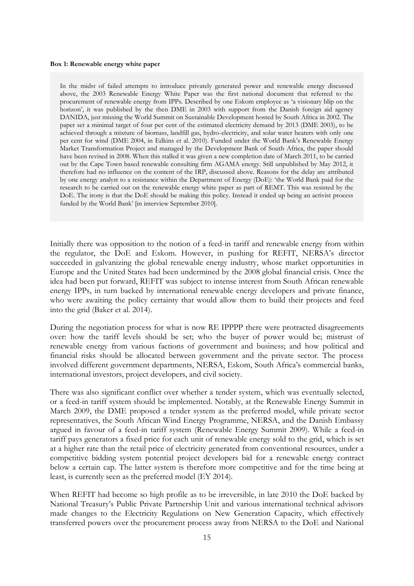#### **Box 1: Renewable energy white paper**

In the midst of failed attempts to introduce privately generated power and renewable energy discussed above, the 2003 Renewable Energy White Paper was the first national document that referred to the procurement of renewable energy from IPPs. Described by one Eskom employee as 'a visionary blip on the horizon', it was published by the then DME in 2003 with support from the Danish foreign aid agency DANIDA, just missing the World Summit on Sustainable Development hosted by South Africa in 2002. The paper set a minimal target of four per cent of the estimated electricity demand by 2013 (DME 2003), to be achieved through a mixture of biomass, landfill gas, hydro-electricity, and solar water heaters with only one per cent for wind (DME 2004, in Edkins et al. 2010). Funded under the World Bank's Renewable Energy Market Transformation Project and managed by the Development Bank of South Africa, the paper should have been revised in 2008. When this stalled it was given a new completion date of March 2011, to be carried out by the Cape Town based renewable consulting firm AGAMA energy. Still unpublished by May 2012, it therefore had no influence on the content of the IRP, discussed above. Reasons for the delay are attributed by one energy analyst to a resistance within the Department of Energy (DoE): 'the World Bank paid for the research to be carried out on the renewable energy white paper as part of REMT. This was resisted by the DoE. The irony is that the DoE should be making this policy. Instead it ended up being an activist process funded by the World Bank' [in interview September 2010].

Initially there was opposition to the notion of a feed-in tariff and renewable energy from within the regulator, the DoE and Eskom. However, in pushing for REFIT, NERSA's director succeeded in galvanizing the global renewable energy industry, whose market opportunities in Europe and the United States had been undermined by the 2008 global financial crisis. Once the idea had been put forward, REFIT was subject to intense interest from South African renewable energy IPPs, in turn backed by international renewable energy developers and private finance, who were awaiting the policy certainty that would allow them to build their projects and feed into the grid (Baker et al. 2014).

During the negotiation process for what is now RE IPPPP there were protracted disagreements over: how the tariff levels should be set; who the buyer of power would be; mistrust of renewable energy from various factions of government and business; and how political and financial risks should be allocated between government and the private sector. The process involved different government departments, NERSA, Eskom, South Africa's commercial banks, international investors, project developers, and civil society.

There was also significant conflict over whether a tender system, which was eventually selected, or a feed-in tariff system should be implemented. Notably, at the Renewable Energy Summit in March 2009, the DME proposed a tender system as the preferred model, while private sector representatives, the South African Wind Energy Programme, NERSA, and the Danish Embassy argued in favour of a feed-in tariff system (Renewable Energy Summit 2009). While a feed-in tariff pays generators a fixed price for each unit of renewable energy sold to the grid, which is set at a higher rate than the retail price of electricity generated from conventional resources, under a competitive bidding system potential project developers bid for a renewable energy contract below a certain cap. The latter system is therefore more competitive and for the time being at least, is currently seen as the preferred model (EY 2014).

When REFIT had become so high profile as to be irreversible, in late 2010 the DoE backed by National Treasury's Public Private Partnership Unit and various international technical advisors made changes to the Electricity Regulations on New Generation Capacity, which effectively transferred powers over the procurement process away from NERSA to the DoE and National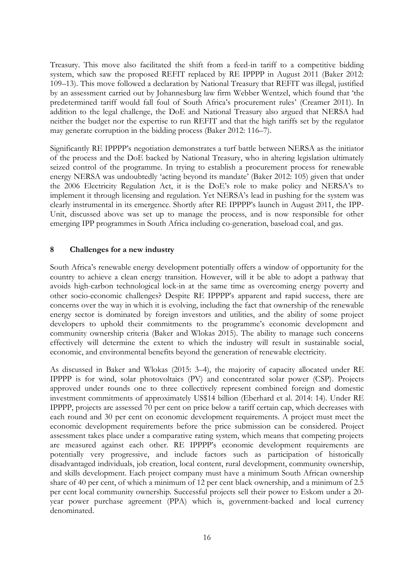Treasury. This move also facilitated the shift from a feed-in tariff to a competitive bidding system, which saw the proposed REFIT replaced by RE IPPPP in August 2011 (Baker 2012: 109–13). This move followed a declaration by National Treasury that REFIT was illegal, justified by an assessment carried out by Johannesburg law firm Webber Wentzel, which found that 'the predetermined tariff would fall foul of South Africa's procurement rules' (Creamer 2011). In addition to the legal challenge, the DoE and National Treasury also argued that NERSA had neither the budget nor the expertise to run REFIT and that the high tariffs set by the regulator may generate corruption in the bidding process (Baker 2012: 116–7).

Significantly RE IPPPP's negotiation demonstrates a turf battle between NERSA as the initiator of the process and the DoE backed by National Treasury, who in altering legislation ultimately seized control of the programme. In trying to establish a procurement process for renewable energy NERSA was undoubtedly 'acting beyond its mandate' (Baker 2012: 105) given that under the 2006 Electricity Regulation Act, it is the DoE's role to make policy and NERSA's to implement it through licensing and regulation. Yet NERSA's lead in pushing for the system was clearly instrumental in its emergence. Shortly after RE IPPPP's launch in August 2011, the IPP-Unit, discussed above was set up to manage the process, and is now responsible for other emerging IPP programmes in South Africa including co-generation, baseload coal, and gas.

#### **8 Challenges for a new industry**

South Africa's renewable energy development potentially offers a window of opportunity for the country to achieve a clean energy transition. However, will it be able to adopt a pathway that avoids high-carbon technological lock-in at the same time as overcoming energy poverty and other socio-economic challenges? Despite RE IPPPP's apparent and rapid success, there are concerns over the way in which it is evolving, including the fact that ownership of the renewable energy sector is dominated by foreign investors and utilities, and the ability of some project developers to uphold their commitments to the programme's economic development and community ownership criteria (Baker and Wlokas 2015). The ability to manage such concerns effectively will determine the extent to which the industry will result in sustainable social, economic, and environmental benefits beyond the generation of renewable electricity.

As discussed in Baker and Wlokas (2015: 3–4), the majority of capacity allocated under RE IPPPP is for wind, solar photovoltaics (PV) and concentrated solar power (CSP). Projects approved under rounds one to three collectively represent combined foreign and domestic investment commitments of approximately US\$14 billion (Eberhard et al. 2014: 14). Under RE IPPPP, projects are assessed 70 per cent on price below a tariff certain cap, which decreases with each round and 30 per cent on economic development requirements. A project must meet the economic development requirements before the price submission can be considered. Project assessment takes place under a comparative rating system, which means that competing projects are measured against each other. RE IPPPP's economic development requirements are potentially very progressive, and include factors such as participation of historically disadvantaged individuals, job creation, local content, rural development, community ownership, and skills development. Each project company must have a minimum South African ownership share of 40 per cent, of which a minimum of 12 per cent black ownership, and a minimum of 2.5 per cent local community ownership. Successful projects sell their power to Eskom under a 20 year power purchase agreement (PPA) which is, government-backed and local currency denominated.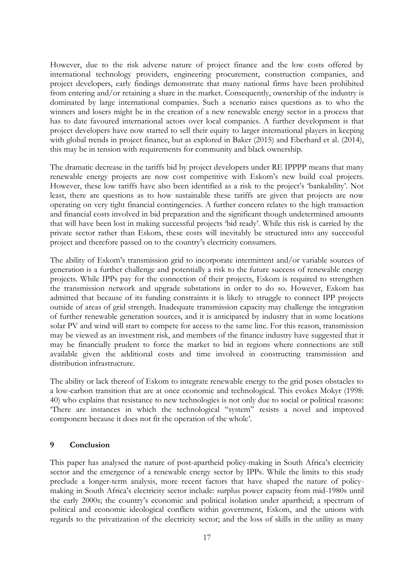However, due to the risk adverse nature of project finance and the low costs offered by international technology providers, engineering procurement, construction companies, and project developers, early findings demonstrate that many national firms have been prohibited from entering and/or retaining a share in the market. Consequently, ownership of the industry is dominated by large international companies. Such a scenario raises questions as to who the winners and losers might be in the creation of a new renewable energy sector in a process that has to date favoured international actors over local companies. A further development is that project developers have now started to sell their equity to larger international players in keeping with global trends in project finance, but as explored in Baker (2015) and Eberhard et al. (2014), this may be in tension with requirements for community and black ownership.

The dramatic decrease in the tariffs bid by project developers under RE IPPPP means that many renewable energy projects are now cost competitive with Eskom's new build coal projects. However, these low tariffs have also been identified as a risk to the project's 'bankability'. Not least, there are questions as to how sustainable these tariffs are given that projects are now operating on very tight financial contingencies. A further concern relates to the high transaction and financial costs involved in bid preparation and the significant though undetermined amounts that will have been lost in making successful projects 'bid ready'. While this risk is carried by the private sector rather than Eskom, these costs will inevitably be structured into any successful project and therefore passed on to the country's electricity consumers.

The ability of Eskom's transmission grid to incorporate intermittent and/or variable sources of generation is a further challenge and potentially a risk to the future success of renewable energy projects. While IPPs pay for the connection of their projects, Eskom is required to strengthen the transmission network and upgrade substations in order to do so. However, Eskom has admitted that because of its funding constraints it is likely to struggle to connect IPP projects outside of areas of grid strength. Inadequate transmission capacity may challenge the integration of further renewable generation sources, and it is anticipated by industry that in some locations solar PV and wind will start to compete for access to the same line. For this reason, transmission may be viewed as an investment risk, and members of the finance industry have suggested that it may be financially prudent to force the market to bid in regions where connections are still available given the additional costs and time involved in constructing transmission and distribution infrastructure.

The ability or lack thereof of Eskom to integrate renewable energy to the grid poses obstacles to a low-carbon transition that are at once economic and technological. This evokes Mokyr (1998: 40) who explains that resistance to new technologies is not only due to social or political reasons: 'There are instances in which the technological "system" resists a novel and improved component because it does not fit the operation of the whole'.

### **9 Conclusion**

This paper has analysed the nature of post-apartheid policy-making in South Africa's electricity sector and the emergence of a renewable energy sector by IPPs. While the limits to this study preclude a longer-term analysis, more recent factors that have shaped the nature of policymaking in South Africa's electricity sector include: surplus power capacity from mid-1980s until the early 2000s; the country's economic and political isolation under apartheid; a spectrum of political and economic ideological conflicts within government, Eskom, and the unions with regards to the privatization of the electricity sector; and the loss of skills in the utility as many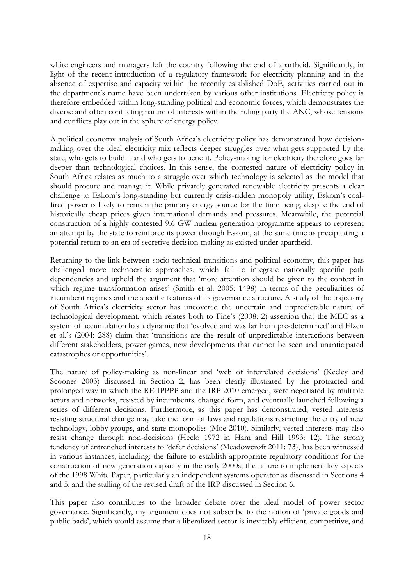white engineers and managers left the country following the end of apartheid. Significantly, in light of the recent introduction of a regulatory framework for electricity planning and in the absence of expertise and capacity within the recently established DoE, activities carried out in the department's name have been undertaken by various other institutions. Electricity policy is therefore embedded within long-standing political and economic forces, which demonstrates the diverse and often conflicting nature of interests within the ruling party the ANC, whose tensions and conflicts play out in the sphere of energy policy.

A political economy analysis of South Africa's electricity policy has demonstrated how decisionmaking over the ideal electricity mix reflects deeper struggles over what gets supported by the state, who gets to build it and who gets to benefit. Policy-making for electricity therefore goes far deeper than technological choices. In this sense, the contested nature of electricity policy in South Africa relates as much to a struggle over which technology is selected as the model that should procure and manage it. While privately generated renewable electricity presents a clear challenge to Eskom's long-standing but currently crisis-ridden monopoly utility, Eskom's coalfired power is likely to remain the primary energy source for the time being, despite the end of historically cheap prices given international demands and pressures. Meanwhile, the potential construction of a highly contested 9.6 GW nuclear generation programme appears to represent an attempt by the state to reinforce its power through Eskom, at the same time as precipitating a potential return to an era of secretive decision-making as existed under apartheid.

Returning to the link between socio-technical transitions and political economy, this paper has challenged more technocratic approaches, which fail to integrate nationally specific path dependencies and upheld the argument that 'more attention should be given to the context in which regime transformation arises' (Smith et al. 2005: 1498) in terms of the peculiarities of incumbent regimes and the specific features of its governance structure. A study of the trajectory of South Africa's electricity sector has uncovered the uncertain and unpredictable nature of technological development, which relates both to Fine's (2008: 2) assertion that the MEC as a system of accumulation has a dynamic that 'evolved and was far from pre-determined' and Elzen et al.'s (2004: 288) claim that 'transitions are the result of unpredictable interactions between different stakeholders, power games, new developments that cannot be seen and unanticipated catastrophes or opportunities'.

The nature of policy-making as non-linear and 'web of interrelated decisions' (Keeley and Scoones 2003) discussed in Section 2, has been clearly illustrated by the protracted and prolonged way in which the RE IPPPP and the IRP 2010 emerged, were negotiated by multiple actors and networks, resisted by incumbents, changed form, and eventually launched following a series of different decisions. Furthermore, as this paper has demonstrated, vested interests resisting structural change may take the form of laws and regulations restricting the entry of new technology, lobby groups, and state monopolies (Moe 2010). Similarly, vested interests may also resist change through non-decisions (Heclo 1972 in Ham and Hill 1993: 12). The strong tendency of entrenched interests to 'defer decisions' (Meadowcroft 2011: 73), has been witnessed in various instances, including: the failure to establish appropriate regulatory conditions for the construction of new generation capacity in the early 2000s; the failure to implement key aspects of the 1998 White Paper, particularly an independent systems operator as discussed in Sections 4 and 5; and the stalling of the revised draft of the IRP discussed in Section 6.

This paper also contributes to the broader debate over the ideal model of power sector governance. Significantly, my argument does not subscribe to the notion of 'private goods and public bads', which would assume that a liberalized sector is inevitably efficient, competitive, and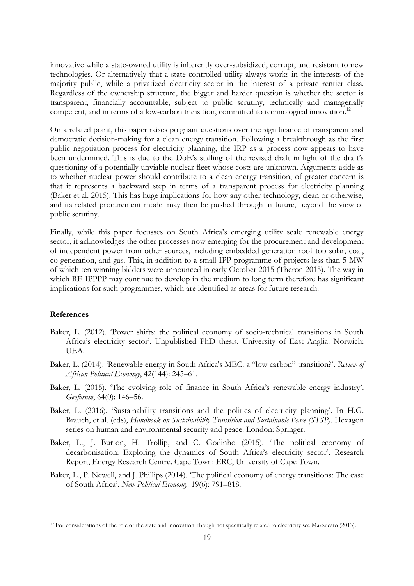innovative while a state-owned utility is inherently over-subsidized, corrupt, and resistant to new technologies. Or alternatively that a state-controlled utility always works in the interests of the majority public, while a privatized electricity sector in the interest of a private rentier class. Regardless of the ownership structure, the bigger and harder question is whether the sector is transparent, financially accountable, subject to public scrutiny, technically and managerially competent, and in terms of a low-carbon transition, committed to technological innovation.<sup>12</sup>

On a related point, this paper raises poignant questions over the significance of transparent and democratic decision-making for a clean energy transition. Following a breakthrough as the first public negotiation process for electricity planning, the IRP as a process now appears to have been undermined. This is due to the DoE's stalling of the revised draft in light of the draft's questioning of a potentially unviable nuclear fleet whose costs are unknown. Arguments aside as to whether nuclear power should contribute to a clean energy transition, of greater concern is that it represents a backward step in terms of a transparent process for electricity planning (Baker et al. 2015). This has huge implications for how any other technology, clean or otherwise, and its related procurement model may then be pushed through in future, beyond the view of public scrutiny.

Finally, while this paper focusses on South Africa's emerging utility scale renewable energy sector, it acknowledges the other processes now emerging for the procurement and development of independent power from other sources, including embedded generation roof top solar, coal, co-generation, and gas. This, in addition to a small IPP programme of projects less than 5 MW of which ten winning bidders were announced in early October 2015 (Theron 2015). The way in which RE IPPPP may continue to develop in the medium to long term therefore has significant implications for such programmes, which are identified as areas for future research.

#### **References**

- Baker, L. (2012). 'Power shifts: the political economy of socio-technical transitions in South Africa's electricity sector'. Unpublished PhD thesis, University of East Anglia. Norwich: UEA.
- Baker, L. (2014). 'Renewable energy in South Africa's MEC: a "low carbon" transition?'. *Review of African Political Economy*, 42(144): 245–61.
- Baker, L. (2015). 'The evolving role of finance in South Africa's renewable energy industry'. *Geoforum*, 64(0): 146–56.
- Baker, L. (2016). 'Sustainability transitions and the politics of electricity planning'. In H.G. Brauch, et al. (eds), *Handbook on Sustainability Transition and Sustainable Peace (STSP)*. Hexagon series on human and environmental security and peace. London: Springer.
- Baker, L., J. Burton, H. Trollip, and C. Godinho (2015). 'The political economy of decarbonisation: Exploring the dynamics of South Africa's electricity sector'. Research Report, Energy Research Centre. Cape Town: ERC, University of Cape Town.
- Baker, L., P. Newell, and J. Phillips (2014). 'The political economy of energy transitions: The case of South Africa'. *New Political Economy,* 19(6): 791–818.

<sup>12</sup> For considerations of the role of the state and innovation, though not specifically related to electricity see Mazzucato (2013).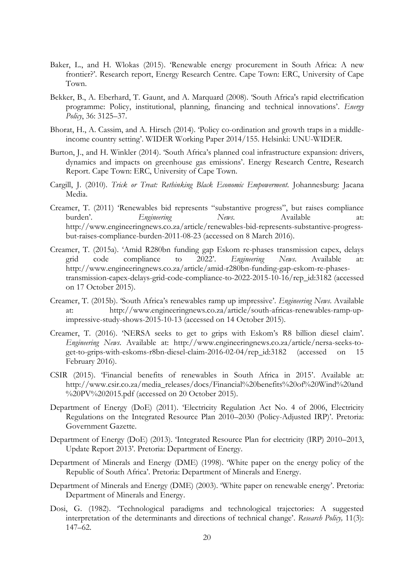- Baker, L., and H. Wlokas (2015). 'Renewable energy procurement in South Africa: A new frontier?'. Research report, Energy Research Centre. Cape Town: ERC, University of Cape Town.
- Bekker, B., A. Eberhard, T. Gaunt, and A. Marquard (2008). 'South Africa's rapid electrification programme: Policy, institutional, planning, financing and technical innovations'. *Energy Policy*, 36: 3125–37.
- Bhorat, H., A. Cassim, and A. Hirsch (2014). 'Policy co-ordination and growth traps in a middleincome country setting'. WIDER Working Paper 2014/155. Helsinki: UNU-WIDER.
- Burton, J., and H. Winkler (2014). 'South Africa's planned coal infrastructure expansion: drivers, dynamics and impacts on greenhouse gas emissions'. Energy Research Centre, Research Report. Cape Town: ERC, University of Cape Town.
- Cargill, J. (2010). *Trick or Treat: Rethinking Black Economic Empowerment.* Johannesburg: Jacana Media.
- Creamer, T. (2011) 'Renewables bid represents "substantive progress", but raises compliance burden'. *Engineering News*. Available at: [http://www.engineeringnews.co.za/article/renewables-bid-represents-substantive-progress](http://www.engineeringnews.co.za/article/renewables-bid-represents-substantive-progress-but-raises-compliance-burden-2011-08-23)[but-raises-compliance-burden-2011-08-23](http://www.engineeringnews.co.za/article/renewables-bid-represents-substantive-progress-but-raises-compliance-burden-2011-08-23) (accessed on 8 March 2016).
- Creamer, T. (2015a). 'Amid R280bn funding gap Eskom re-phases transmission capex, delays grid code compliance to 2022'. *Engineering News*. Available at: [http://www.engineeringnews.co.za/article/amid-r280bn-funding-gap-eskom-re-phases](http://www.engineeringnews.co.za/article/amid-r280bn-funding-gap-eskom-re-phases-transmission-capex-delays-grid-code-compliance-to-2022-2015-10-16/rep_id:3182)[transmission-capex-delays-grid-code-compliance-to-2022-2015-10-16/rep\\_id:3182](http://www.engineeringnews.co.za/article/amid-r280bn-funding-gap-eskom-re-phases-transmission-capex-delays-grid-code-compliance-to-2022-2015-10-16/rep_id:3182) (accessed on 17 October 2015).
- Creamer, T. (2015b). 'South Africa's renewables ramp up impressive'. *Engineering News*. Available at: [http://www.engineeringnews.co.za/article/south-africas-renewables-ramp-up](http://www.engineeringnews.co.za/article/south-africas-renewables-ramp-up-impressive-study-shows-2015-10-13)[impressive-study-shows-2015-10-13](http://www.engineeringnews.co.za/article/south-africas-renewables-ramp-up-impressive-study-shows-2015-10-13) (accessed on 14 October 2015).
- Creamer, T. (2016). 'NERSA seeks to get to grips with Eskom's R8 billion diesel claim'. *Engineering News*. Available at: [http://www.engineeringnews.co.za/article/nersa-seeks-to](http://www.engineeringnews.co.za/article/nersa-seeks-to-get-to-grips-with-eskoms-r8bn-diesel-claim-2016-02-04/rep_id:3182)[get-to-grips-with-eskoms-r8bn-diesel-claim-2016-02-04/rep\\_id:3182](http://www.engineeringnews.co.za/article/nersa-seeks-to-get-to-grips-with-eskoms-r8bn-diesel-claim-2016-02-04/rep_id:3182) (accessed on 15 February 2016).
- CSIR (2015). 'Financial benefits of renewables in South Africa in 2015'. Available at: [http://www.csir.co.za/media\\_releases/docs/Financial%20benefits%20of%20Wind%20and](http://www.csir.co.za/media_releases/docs/Financial%20benefits%20of%20Wind%20and%20PV%202015.pdf) [%20PV%202015.pdf](http://www.csir.co.za/media_releases/docs/Financial%20benefits%20of%20Wind%20and%20PV%202015.pdf) (accessed on 20 October 2015).
- Department of Energy (DoE) (2011). 'Electricity Regulation Act No. 4 of 2006, Electricity Regulations on the Integrated Resource Plan 2010–2030 (Policy-Adjusted IRP)'. Pretoria: Government Gazette.
- Department of Energy (DoE) (2013). 'Integrated Resource Plan for electricity (IRP) 2010–2013, Update Report 2013'. Pretoria: Department of Energy.
- Department of Minerals and Energy (DME) (1998). 'White paper on the energy policy of the Republic of South Africa'. Pretoria: Department of Minerals and Energy.
- Department of Minerals and Energy (DME) (2003). 'White paper on renewable energy'. Pretoria: Department of Minerals and Energy.
- Dosi, G. (1982). 'Technological paradigms and technological trajectories: A suggested interpretation of the determinants and directions of technical change'. *Research Policy,* 11(3): 147–62.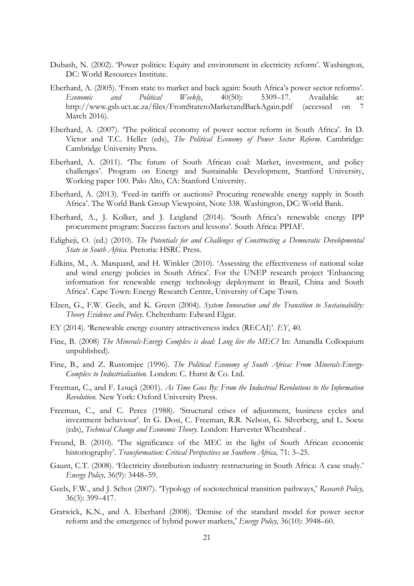- Dubash, N. (2002). 'Power politics: Equity and environment in electricity reform'. Washington, DC: World Resources Institute.
- Eberhard, A. (2005). 'From state to market and back again: South Africa's power sector reforms'. *Economic and Political Weekly*, 40(50): 5309–17. Available at: <http://www.gsb.uct.ac.za/files/FromStatetoMarketandBackAgain.pdf> (accessed on 7 March 2016).
- Eberhard, A. (2007). 'The political economy of power sector reform in South Africa'. In D. Victor and T.C. Heller (eds), *The Political Economy of Power Sector Reform*. Cambridge: Cambridge University Press.
- Eberhard, A. (2011). 'The future of South African coal: Market, investment, and policy challenges'. Program on Energy and Sustainable Development, Stanford University, Working paper 100. Palo Alto, CA: Stanford University.
- Eberhard, A. (2013). 'Feed-in tariffs or auctions? Procuring renewable energy supply in South Africa'. The World Bank Group Viewpoint, Note 338. Washington, DC: World Bank.
- Eberhard, A., J. Kolker, and J. Leigland (2014). 'South Africa's renewable energy IPP procurement program: Success factors and lessons'. South Africa: PPIAF.
- Edigheji, O. (ed.) (2010). *The Potentials for and Challenges of Constructing a Democratic Developmental State in South Africa.* Pretoria: HSRC Press.
- Edkins, M., A. Marquard, and H. Winkler (2010). 'Assessing the effectiveness of national solar and wind energy policies in South Africa'. For the UNEP research project 'Enhancing information for renewable energy technology deployment in Brazil, China and South Africa'. Cape Town: Energy Research Centre, University of Cape Town.
- Elzen, G., F.W. Geels, and K. Green (2004). *System Innovation and the Transition to Sustainability: Theory Evidence and Policy.* Cheltenham: Edward Elgar.
- EY (2014). 'Renewable energy country attractiveness index (RECAI)'. *EY*, 40.
- Fine, B. (2008) *The Minerals-Energy Complex is dead: Long live the MEC?* In: Amandla Colloquium unpublished).
- Fine, B., and Z. Rustomjee (1996). *The Political Economy of South Africa: From Minerals-Energy-Complex to Industrialisation.* London: C. Hurst & Co. Ltd.
- Freeman, C., and F. Louçã (2001). *As Time Goes By: From the Industrial Revolutions to the Information Revolution.* New York: Oxford University Press.
- Freeman, C., and C. Perez (1988). 'Structural crises of adjustment, business cycles and investment behaviour'. In G. Dosi, C. Freeman, R.R. Nelson, G. Silverberg, and L. Soete (eds), *Technical Change and Economic Theory.* London: Harvester Wheatsheaf .
- Freund, B. (2010). 'The significance of the MEC in the light of South African economic historiography'. *Transformation: Critical Perspectives on Southern Africa,* 71: 3–25.
- Gaunt, C.T. (2008). 'Electricity distribution industry restructuring in South Africa: A case study.' *Energy Policy,* 36(9): 3448–59.
- Geels, F.W., and J. Schot (2007). 'Typology of sociotechnical transition pathways,' *Research Policy,* 36(3): 399–417.
- Gratwick, K.N., and A. Eberhard (2008). 'Demise of the standard model for power sector reform and the emergence of hybrid power markets,' *Energy Policy,* 36(10): 3948–60.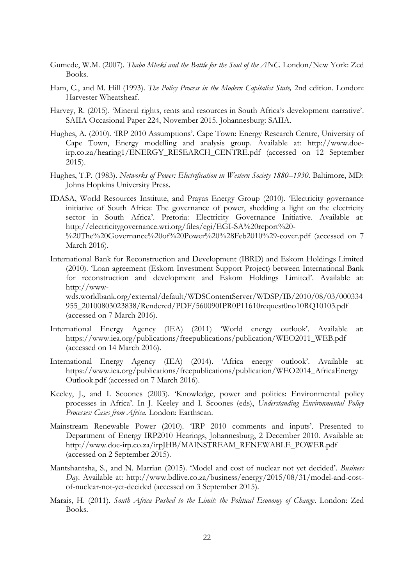- Gumede, W.M. (2007). *Thabo Mbeki and the Battle for the Soul of the ANC.* London/New York: Zed Books.
- Ham, C., and M. Hill (1993). *The Policy Process in the Modern Capitalist State,* 2nd edition. London: Harvester Wheatsheaf.
- Harvey, R. (2015). 'Mineral rights, rents and resources in South Africa's development narrative'. SAIIA Occasional Paper 224, November 2015. Johannesburg: SAIIA.
- Hughes, A. (2010). 'IRP 2010 Assumptions'. Cape Town: Energy Research Centre, University of Cape Town, Energy modelling and analysis group. Available at: [http://www.doe](http://www.doe-irp.co.za/hearing1/ENERGY_RESEARCH_CENTRE.pdf)[irp.co.za/hearing1/ENERGY\\_RESEARCH\\_CENTRE.pdf](http://www.doe-irp.co.za/hearing1/ENERGY_RESEARCH_CENTRE.pdf) (accessed on 12 September 2015).
- Hughes, T.P. (1983). *Networks of Power: Electrification in Western Society 1880–1930*. Baltimore, MD: Johns Hopkins University Press.
- IDASA, World Resources Institute, and Prayas Energy Group (2010). 'Electricity governance initiative of South Africa: The governance of power, shedding a light on the electricity sector in South Africa'. Pretoria: Electricity Governance Initiative. Available at: [http://electricitygovernance.wri.org/files/egi/EGI-SA%20report%20-](http://electricitygovernance.wri.org/files/egi/EGI-SA%20report%20-%20The%20Governance%20of%20Power%20%28Feb2010%29-cover.pdf) [%20The%20Governance%20of%20Power%20%28Feb2010%29-cover.pdf](http://electricitygovernance.wri.org/files/egi/EGI-SA%20report%20-%20The%20Governance%20of%20Power%20%28Feb2010%29-cover.pdf) (accessed on 7 March 2016).
- International Bank for Reconstruction and Development (IBRD) and Eskom Holdings Limited (2010). 'Loan agreement (Eskom Investment Support Project) between International Bank for reconstruction and development and Eskom Holdings Limited'. Available at: [http://www-](http://www-wds.worldbank.org/external/default/WDSContentServer/WDSP/IB/2010/08/03/000334955_20100803023838/Rendered/PDF/560090IPR0P11610request0no10RQ10103.pdf)

[wds.worldbank.org/external/default/WDSContentServer/WDSP/IB/2010/08/03/000334](http://www-wds.worldbank.org/external/default/WDSContentServer/WDSP/IB/2010/08/03/000334955_20100803023838/Rendered/PDF/560090IPR0P11610request0no10RQ10103.pdf) [955\\_20100803023838/Rendered/PDF/560090IPR0P11610request0no10RQ10103.pdf](http://www-wds.worldbank.org/external/default/WDSContentServer/WDSP/IB/2010/08/03/000334955_20100803023838/Rendered/PDF/560090IPR0P11610request0no10RQ10103.pdf) (accessed on 7 March 2016).

- International Energy Agency (IEA) (2011) 'World energy outlook'. Available at: [https://www.iea.org/publications/freepublications/publication/WEO2011\\_WEB.pdf](https://www.iea.org/publications/freepublications/publication/WEO2011_WEB.pdf) (accessed on 14 March 2016).
- International Energy Agency (IEA) (2014). 'Africa energy outlook'. Available at: [https://www.iea.org/publications/freepublications/publication/WEO2014\\_AfricaEnergy](https://www.iea.org/publications/freepublications/publication/WEO2014_AfricaEnergyOutlook.pdf) [Outlook.pdf](https://www.iea.org/publications/freepublications/publication/WEO2014_AfricaEnergyOutlook.pdf) (accessed on 7 March 2016).
- Keeley, J., and I. Scoones (2003). 'Knowledge, power and politics: Environmental policy processes in Africa'. In J. Keeley and I. Scoones (eds), *Understanding Environmental Policy Processes: Cases from Africa.* London: Earthscan.
- Mainstream Renewable Power (2010). 'IRP 2010 comments and inputs'. Presented to Department of Energy IRP2010 Hearings, Johannesburg, 2 December 2010. Available at: [http://www.doe-irp.co.za/irpJHB/MAINSTREAM\\_RENEWABLE\\_POWER.pdf](http://www.doe-irp.co.za/irpJHB/MAINSTREAM_RENEWABLE_POWER.pdf) (accessed on 2 September 2015).
- Mantshantsha, S., and N. Marrian (2015). 'Model and cost of nuclear not yet decided'. *Business Day*. Available at: [http://www.bdlive.co.za/business/energy/2015/08/31/model-and-cost](http://www.bdlive.co.za/business/energy/2015/08/31/model-and-cost-of-nuclear-not-yet-decided)[of-nuclear-not-yet-decided](http://www.bdlive.co.za/business/energy/2015/08/31/model-and-cost-of-nuclear-not-yet-decided) (accessed on 3 September 2015).
- Marais, H. (2011). *South Africa Pushed to the Limit: the Political Economy of Change*. London: Zed Books.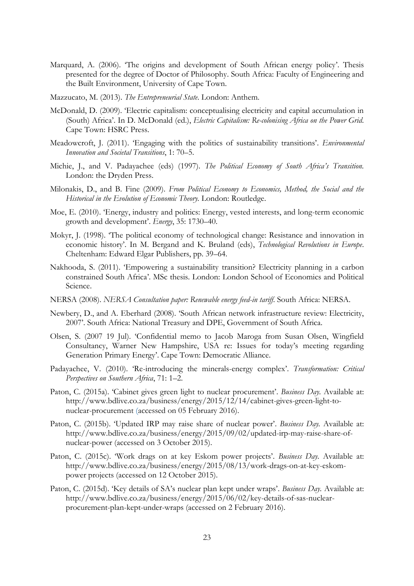- Marquard, A. (2006). 'The origins and development of South African energy policy'. Thesis presented for the degree of Doctor of Philosophy. South Africa: Faculty of Engineering and the Built Environment, University of Cape Town.
- Mazzucato, M. (2013). *The Entrepreneurial State*. London: Anthem.
- McDonald, D. (2009). 'Electric capitalism: conceptualising electricity and capital accumulation in (South) Africa'. In D. McDonald (ed.), *Electric Capitalism: Re-colonising Africa on the Power Grid*. Cape Town: HSRC Press.
- Meadowcroft, J. (2011). 'Engaging with the politics of sustainability transitions'. *Environmental Innovation and Societal Transitions*, 1: 70–5.
- Michie, J., and V. Padayachee (eds) (1997). *The Political Economy of South Africa's Transition.* London: the Dryden Press.
- Milonakis, D., and B. Fine (2009). *From Political Economy to Economics, Method, the Social and the Historical in the Evolution of Economic Theory.* London: Routledge.
- Moe, E. (2010). 'Energy, industry and politics: Energy, vested interests, and long-term economic growth and development'. *Energy*, 35: 1730–40.
- Mokyr, J. (1998). 'The political economy of technological change: Resistance and innovation in economic history'. In M. Bergand and K. Bruland (eds), *Technological Revolutions in Europe*. Cheltenham: Edward Elgar Publishers, pp. 39–64.
- Nakhooda, S. (2011). 'Empowering a sustainability transition? Electricity planning in a carbon constrained South Africa'. MSc thesis. London: London School of Economics and Political Science.
- NERSA (2008). *NERSA Consultation paper: Renewable energy feed-in tariff*. South Africa: NERSA.
- Newbery, D., and A. Eberhard (2008). 'South African network infrastructure review: Electricity, 2007'. South Africa: National Treasury and DPE, Government of South Africa.
- Olsen, S. (2007 19 Jul). 'Confidential memo to Jacob Maroga from Susan Olsen, Wingfield Consultancy, Warner New Hampshire, USA re: Issues for today's meeting regarding Generation Primary Energy'. Cape Town: Democratic Alliance.
- Padayachee, V. (2010). 'Re-introducing the minerals-energy complex'. *Transformation: Critical Perspectives on Southern Africa*, 71: 1–2.
- Paton, C. (2015a). 'Cabinet gives green light to nuclear procurement'. *Business Day.* Available at: [http://www.bdlive.co.za/business/energy/2015/12/14/cabinet-gives-green-light-to](http://www.bdlive.co.za/business/energy/2015/12/14/cabinet-gives-green-light-to-nuclear-procurement)[nuclear-procurement](http://www.bdlive.co.za/business/energy/2015/12/14/cabinet-gives-green-light-to-nuclear-procurement) (accessed on 05 February 2016).
- Paton, C. (2015b). 'Updated IRP may raise share of nuclear power'. *Business Day.* Available at: [http://www.bdlive.co.za/business/energy/2015/09/02/updated-irp-may-raise-share-of](http://www.bdlive.co.za/business/energy/2015/09/02/updated-irp-may-raise-share-of-nuclear-power)[nuclear-power](http://www.bdlive.co.za/business/energy/2015/09/02/updated-irp-may-raise-share-of-nuclear-power) (accessed on 3 October 2015).
- Paton, C. (2015c). 'Work drags on at key Eskom power projects'. *Business Day.* Available at: [http://www.bdlive.co.za/business/energy/2015/08/13/work-drags-on-at-key-eskom](http://www.bdlive.co.za/business/energy/2015/08/13/work-drags-on-at-key-eskom-power%20projects)[power projects](http://www.bdlive.co.za/business/energy/2015/08/13/work-drags-on-at-key-eskom-power%20projects) (accessed on 12 October 2015).
- Paton, C. (2015d). 'Key details of SA's nuclear plan kept under wraps'. *Business Day.* Available at: [http://www.bdlive.co.za/business/energy/2015/06/02/key-details-of-sas-nuclear](http://www.bdlive.co.za/business/energy/2015/06/02/key-details-of-sas-nuclear-procurement-plan-kept-under-wraps)[procurement-plan-kept-under-wraps](http://www.bdlive.co.za/business/energy/2015/06/02/key-details-of-sas-nuclear-procurement-plan-kept-under-wraps) (accessed on 2 February 2016).